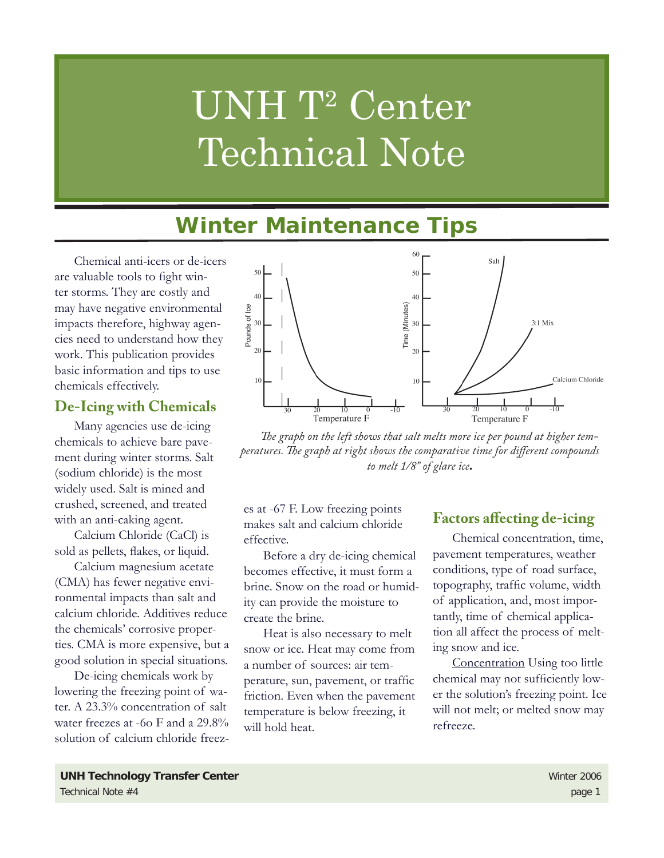# UNH T<sup>2</sup> Center Technical Note

# **Winter Maintenance Tips**

Chemical anti-icers or de-icers are valuable tools to fight winter storms. They are costly and may have negative environmental impacts therefore, highway agencies need to understand how they work. This publication provides basic information and tips to use chemicals effectively.

#### **De-Icing with Chemicals**

Many agencies use de-icing chemicals to achieve bare pavement during winter storms. Salt (sodium chloride) is the most widely used. Salt is mined and crushed, screened, and treated with an anti-caking agent.

Calcium Chloride (CaCl) is sold as pellets, flakes, or liquid.

Calcium magnesium acetate (CMA) has fewer negative environmental impacts than salt and calcium chloride. Additives reduce the chemicals' corrosive properties. CMA is more expensive, but a good solution in special situations.

De-icing chemicals work by lowering the freezing point of water. A 23.3% concentration of salt water freezes at -6o F and a 29.8% solution of calcium chloride freez-



The graph on the left shows that salt melts more ice per pound at higher temperatures. The graph at right shows the comparative time for different compounds *to melt 1/8" of glare ice***.**

es at -67 F. Low freezing points makes salt and calcium chloride effective.

Before a dry de-icing chemical becomes effective, it must form a brine. Snow on the road or humidity can provide the moisture to create the brine.

Heat is also necessary to melt snow or ice. Heat may come from a number of sources: air temperature, sun, pavement, or traffic friction. Even when the pavement temperature is below freezing, it will hold heat.

#### **Factors affecting de-icing**

Chemical concentration, time, pavement temperatures, weather conditions, type of road surface, topography, traffic volume, width of application, and, most importantly, time of chemical application all affect the process of melting snow and ice.

Concentration Using too little chemical may not sufficiently lower the solution's freezing point. Ice will not melt; or melted snow may refreeze.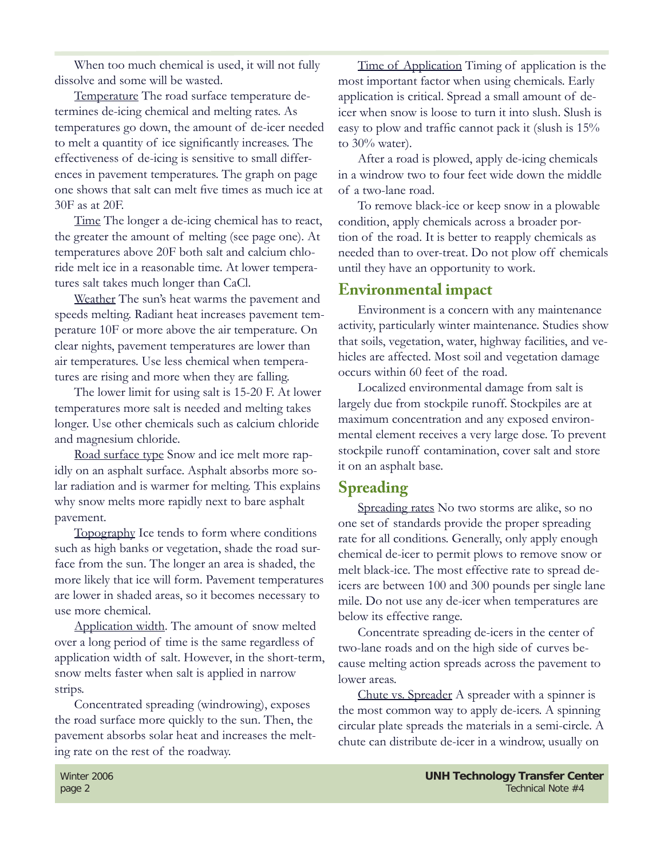When too much chemical is used, it will not fully dissolve and some will be wasted.

Temperature The road surface temperature determines de-icing chemical and melting rates. As temperatures go down, the amount of de-icer needed to melt a quantity of ice significantly increases. The effectiveness of de-icing is sensitive to small differences in pavement temperatures. The graph on page one shows that salt can melt five times as much ice at 30F as at 20F.

Time The longer a de-icing chemical has to react, the greater the amount of melting (see page one). At temperatures above 20F both salt and calcium chloride melt ice in a reasonable time. At lower temperatures salt takes much longer than CaCl.

Weather The sun's heat warms the pavement and speeds melting. Radiant heat increases pavement temperature 10F or more above the air temperature. On clear nights, pavement temperatures are lower than air temperatures. Use less chemical when temperatures are rising and more when they are falling.

The lower limit for using salt is 15-20 F. At lower temperatures more salt is needed and melting takes longer. Use other chemicals such as calcium chloride and magnesium chloride.

Road surface type Snow and ice melt more rapidly on an asphalt surface. Asphalt absorbs more solar radiation and is warmer for melting. This explains why snow melts more rapidly next to bare asphalt pavement.

Topography Ice tends to form where conditions such as high banks or vegetation, shade the road surface from the sun. The longer an area is shaded, the more likely that ice will form. Pavement temperatures are lower in shaded areas, so it becomes necessary to use more chemical.

Application width. The amount of snow melted over a long period of time is the same regardless of application width of salt. However, in the short-term, snow melts faster when salt is applied in narrow strips.

Concentrated spreading (windrowing), exposes the road surface more quickly to the sun. Then, the pavement absorbs solar heat and increases the melting rate on the rest of the roadway.

Time of Application Timing of application is the most important factor when using chemicals. Early application is critical. Spread a small amount of deicer when snow is loose to turn it into slush. Slush is easy to plow and traffic cannot pack it (slush is  $15\%$ ) to 30% water).

After a road is plowed, apply de-icing chemicals in a windrow two to four feet wide down the middle of a two-lane road.

To remove black-ice or keep snow in a plowable condition, apply chemicals across a broader portion of the road. It is better to reapply chemicals as needed than to over-treat. Do not plow off chemicals until they have an opportunity to work.

#### **Environmental impact**

Environment is a concern with any maintenance activity, particularly winter maintenance. Studies show that soils, vegetation, water, highway facilities, and vehicles are affected. Most soil and vegetation damage occurs within 60 feet of the road.

Localized environmental damage from salt is largely due from stockpile runoff. Stockpiles are at maximum concentration and any exposed environmental element receives a very large dose. To prevent stockpile runoff contamination, cover salt and store it on an asphalt base.

#### **Spreading**

Spreading rates No two storms are alike, so no one set of standards provide the proper spreading rate for all conditions. Generally, only apply enough chemical de-icer to permit plows to remove snow or melt black-ice. The most effective rate to spread deicers are between 100 and 300 pounds per single lane mile. Do not use any de-icer when temperatures are below its effective range.

Concentrate spreading de-icers in the center of two-lane roads and on the high side of curves because melting action spreads across the pavement to lower areas.

Chute vs. Spreader A spreader with a spinner is the most common way to apply de-icers. A spinning circular plate spreads the materials in a semi-circle. A chute can distribute de-icer in a windrow, usually on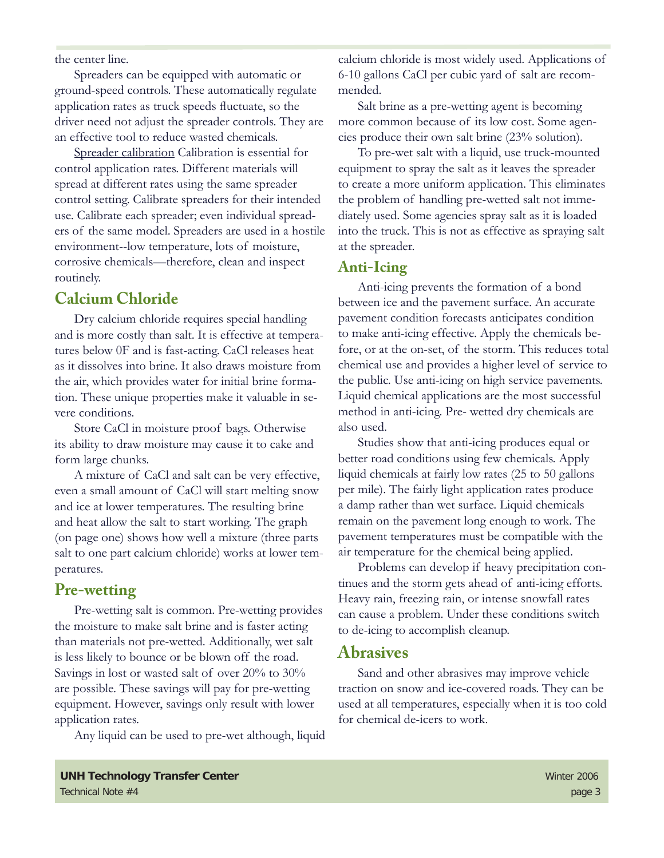the center line.

Spreaders can be equipped with automatic or ground-speed controls. These automatically regulate application rates as truck speeds fluctuate, so the driver need not adjust the spreader controls. They are an effective tool to reduce wasted chemicals.

Spreader calibration Calibration is essential for control application rates. Different materials will spread at different rates using the same spreader control setting. Calibrate spreaders for their intended use. Calibrate each spreader; even individual spreaders of the same model. Spreaders are used in a hostile environment--low temperature, lots of moisture, corrosive chemicals—therefore, clean and inspect routinely.

#### **Calcium Chloride**

Dry calcium chloride requires special handling and is more costly than salt. It is effective at temperatures below 0F and is fast-acting. CaCl releases heat as it dissolves into brine. It also draws moisture from the air, which provides water for initial brine formation. These unique properties make it valuable in severe conditions.

Store CaCl in moisture proof bags. Otherwise its ability to draw moisture may cause it to cake and form large chunks.

A mixture of CaCl and salt can be very effective, even a small amount of CaCl will start melting snow and ice at lower temperatures. The resulting brine and heat allow the salt to start working. The graph (on page one) shows how well a mixture (three parts salt to one part calcium chloride) works at lower temperatures.

#### **Pre-wetting**

Pre-wetting salt is common. Pre-wetting provides the moisture to make salt brine and is faster acting than materials not pre-wetted. Additionally, wet salt is less likely to bounce or be blown off the road. Savings in lost or wasted salt of over 20% to 30% are possible. These savings will pay for pre-wetting equipment. However, savings only result with lower application rates.

Any liquid can be used to pre-wet although, liquid

calcium chloride is most widely used. Applications of 6-10 gallons CaCl per cubic yard of salt are recommended.

Salt brine as a pre-wetting agent is becoming more common because of its low cost. Some agencies produce their own salt brine (23% solution).

To pre-wet salt with a liquid, use truck-mounted equipment to spray the salt as it leaves the spreader to create a more uniform application. This eliminates the problem of handling pre-wetted salt not immediately used. Some agencies spray salt as it is loaded into the truck. This is not as effective as spraying salt at the spreader.

#### **Anti-Icing**

Anti-icing prevents the formation of a bond between ice and the pavement surface. An accurate pavement condition forecasts anticipates condition to make anti-icing effective. Apply the chemicals before, or at the on-set, of the storm. This reduces total chemical use and provides a higher level of service to the public. Use anti-icing on high service pavements. Liquid chemical applications are the most successful method in anti-icing. Pre- wetted dry chemicals are also used.

Studies show that anti-icing produces equal or better road conditions using few chemicals. Apply liquid chemicals at fairly low rates (25 to 50 gallons per mile). The fairly light application rates produce a damp rather than wet surface. Liquid chemicals remain on the pavement long enough to work. The pavement temperatures must be compatible with the air temperature for the chemical being applied.

Problems can develop if heavy precipitation continues and the storm gets ahead of anti-icing efforts. Heavy rain, freezing rain, or intense snowfall rates can cause a problem. Under these conditions switch to de-icing to accomplish cleanup.

#### **Abrasives**

Sand and other abrasives may improve vehicle traction on snow and ice-covered roads. They can be used at all temperatures, especially when it is too cold for chemical de-icers to work.